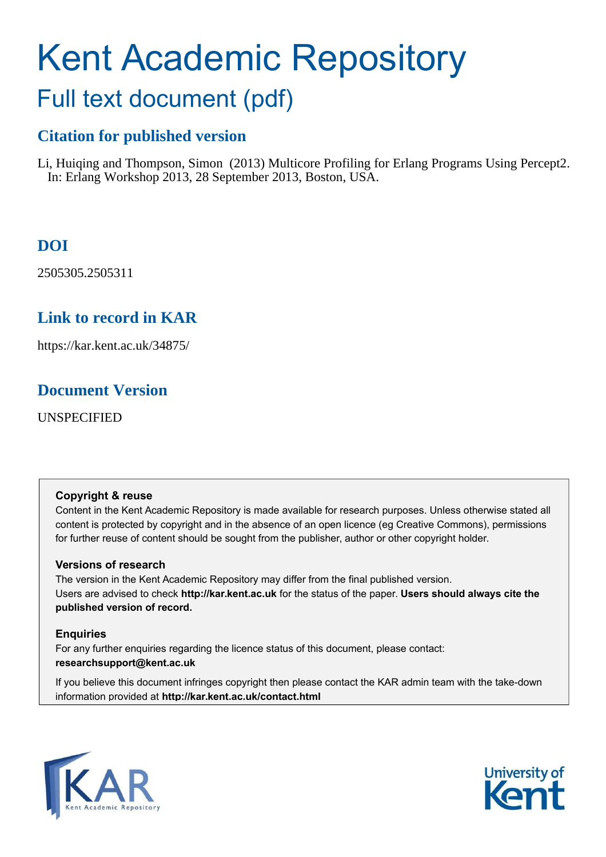# Kent Academic Repository

## Full text document (pdf)

## **Citation for published version**

Li, Huiqing and Thompson, Simon (2013) Multicore Profiling for Erlang Programs Using Percept2. In: Erlang Workshop 2013, 28 September 2013, Boston, USA.

## **DOI**

2505305.2505311

## **Link to record in KAR**

https://kar.kent.ac.uk/34875/

## **Document Version**

UNSPECIFIED

## **Copyright & reuse**

Content in the Kent Academic Repository is made available for research purposes. Unless otherwise stated all content is protected by copyright and in the absence of an open licence (eg Creative Commons), permissions for further reuse of content should be sought from the publisher, author or other copyright holder.

## **Versions of research**

The version in the Kent Academic Repository may differ from the final published version. Users are advised to check **http://kar.kent.ac.uk** for the status of the paper. **Users should always cite the published version of record.**

## **Enquiries**

For any further enquiries regarding the licence status of this document, please contact: **researchsupport@kent.ac.uk**

If you believe this document infringes copyright then please contact the KAR admin team with the take-down information provided at **http://kar.kent.ac.uk/contact.html**



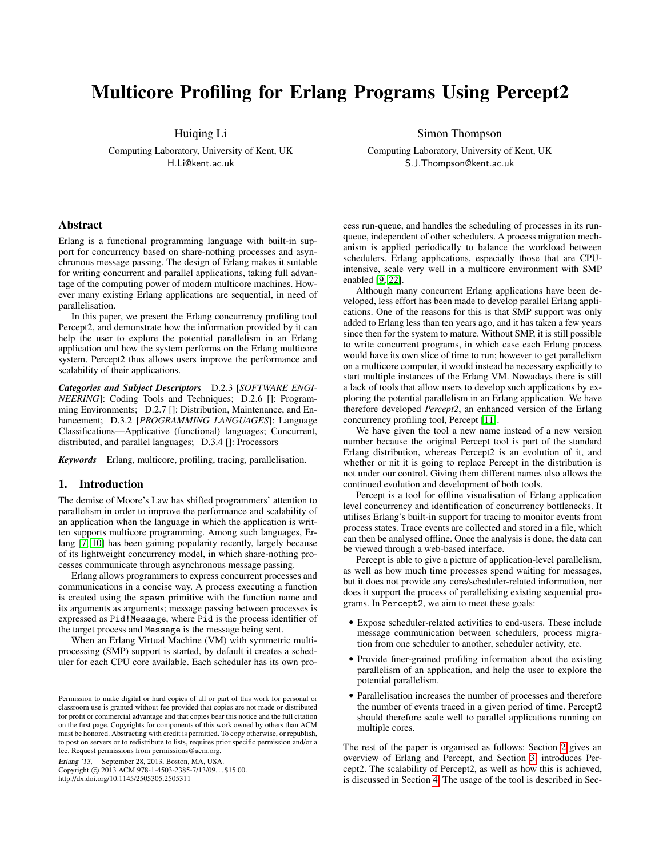## Multicore Profiling for Erlang Programs Using Percept2

Huiqing Li

<span id="page-1-0"></span>Computing Laboratory, University of Kent, UK H.Li@kent.ac.uk

Simon Thompson

Computing Laboratory, University of Kent, UK S.J.Thompson@kent.ac.uk

#### Abstract

Erlang is a functional programming language with built-in support for concurrency based on share-nothing processes and asynchronous message passing. The design of Erlang makes it suitable for writing concurrent and parallel applications, taking full advantage of the computing power of modern multicore machines. However many existing Erlang applications are sequential, in need of parallelisation.

In this paper, we present the Erlang concurrency profiling tool Percept2, and demonstrate how the information provided by it can help the user to explore the potential parallelism in an Erlang application and how the system performs on the Erlang multicore system. Percept2 thus allows users improve the performance and scalability of their applications.

*Categories and Subject Descriptors* D.2.3 [*SOFTWARE ENGI-NEERING*]: Coding Tools and Techniques; D.2.6 []: Programming Environments; D.2.7 []: Distribution, Maintenance, and Enhancement; D.3.2 [*PROGRAMMING LANGUAGES*]: Language Classifications—Applicative (functional) languages; Concurrent, distributed, and parallel languages; D.3.4 []: Processors

*Keywords* Erlang, multicore, profiling, tracing, parallelisation.

#### 1. Introduction

The demise of Moore's Law has shifted programmers' attention to parallelism in order to improve the performance and scalability of an application when the language in which the application is written supports multicore programming. Among such languages, Erlang [\[7,](#page-8-0) [10\]](#page-8-1) has been gaining popularity recently, largely because of its lightweight concurrency model, in which share-nothing processes communicate through asynchronous message passing.

Erlang allows programmers to express concurrent processes and communications in a concise way. A process executing a function is created using the spawn primitive with the function name and its arguments as arguments; message passing between processes is expressed as Pid!Message, where Pid is the process identifier of the target process and Message is the message being sent.

When an Erlang Virtual Machine (VM) with symmetric multiprocessing (SMP) support is started, by default it creates a scheduler for each CPU core available. Each scheduler has its own pro-

Erlang '13, September 28, 2013, Boston, MA, USA.

Copyright © 2013 ACM 978-1-4503-2385-7/13/09... \$15.00. http://dx.doi.org/10.1145/2505305.2505311

cess run-queue, and handles the scheduling of processes in its runqueue, independent of other schedulers. A process migration mechanism is applied periodically to balance the workload between schedulers. Erlang applications, especially those that are CPUintensive, scale very well in a multicore environment with SMP enabled [\[9,](#page-8-2) [22\]](#page-9-0).

<span id="page-1-1"></span>Although many concurrent Erlang applications have been developed, less effort has been made to develop parallel Erlang applications. One of the reasons for this is that SMP support was only added to Erlang less than ten years ago, and it has taken a few years since then for the system to mature. Without SMP, it is still possible to write concurrent programs, in which case each Erlang process would have its own slice of time to run; however to get parallelism on a multicore computer, it would instead be necessary explicitly to start multiple instances of the Erlang VM. Nowadays there is still a lack of tools that allow users to develop such applications by exploring the potential parallelism in an Erlang application. We have therefore developed *Percept2*, an enhanced version of the Erlang concurrency profiling tool, Percept [\[11\]](#page-8-3).

We have given the tool a new name instead of a new version number because the original Percept tool is part of the standard Erlang distribution, whereas Percept2 is an evolution of it, and whether or nit it is going to replace Percept in the distribution is not under our control. Giving them different names also allows the continued evolution and development of both tools.

Percept is a tool for offline visualisation of Erlang application level concurrency and identification of concurrency bottlenecks. It utilises Erlang's built-in support for tracing to monitor events from process states. Trace events are collected and stored in a file, which can then be analysed offline. Once the analysis is done, the data can be viewed through a web-based interface.

Percept is able to give a picture of application-level parallelism, as well as how much time processes spend waiting for messages, but it does not provide any core/scheduler-related information, nor does it support the process of parallelising existing sequential programs. In Percept2, we aim to meet these goals:

- Expose scheduler-related activities to end-users. These include message communication between schedulers, process migration from one scheduler to another, scheduler activity, etc.
- Provide finer-grained profiling information about the existing parallelism of an application, and help the user to explore the potential parallelism.
- Parallelisation increases the number of processes and therefore the number of events traced in a given period of time. Percept2 should therefore scale well to parallel applications running on multiple cores.

The rest of the paper is organised as follows: Section [2](#page-1-0) gives an overview of Erlang and Percept, and Section [3,](#page-2-0) introduces Percept2. The scalability of Percept2, as well as how this is achieved, is discussed in Section [4.](#page-4-0) The usage of the tool is described in Sec-

Permission to make digital or hard copies of all or part of this work for personal or classroom use is granted without fee provided that copies are not made or distributed for profit or commercial advantage and that copies bear this notice and the full citation on the first page. Copyrights for components of this work owned by others than ACM must be honored. Abstracting with credit is permitted. To copy otherwise, or republish, to post on servers or to redistribute to lists, requires prior specific permission and/or a fee. Request permissions from permissions@acm.org.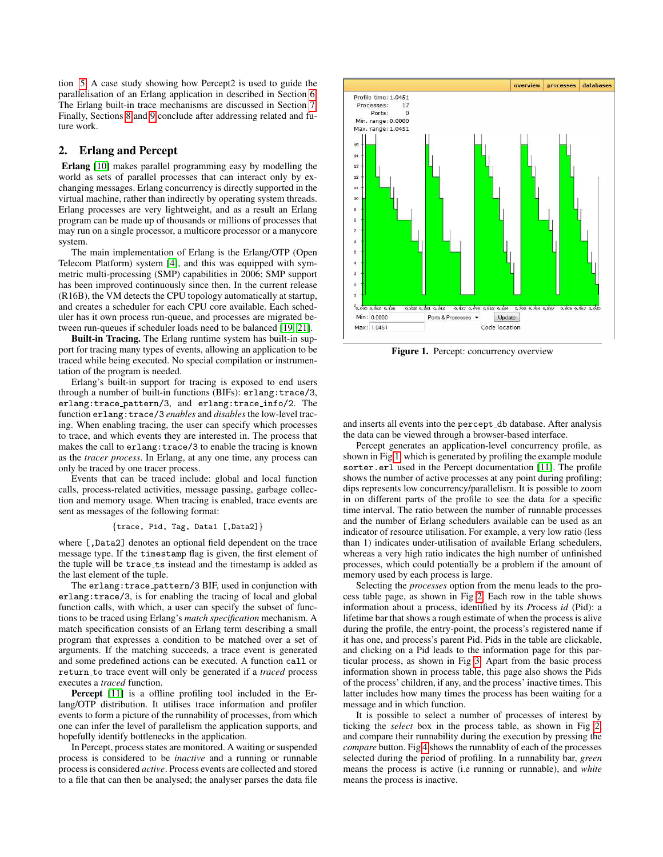tion [5.](#page-5-0) A case study showing how Percept2 is used to guide the parallelisation of an Erlang application in described in Section [6.](#page-6-0) The Erlang built-in trace mechanisms are discussed in Section [7.](#page-6-1) Finally, Sections [8](#page-7-0) and [9](#page-8-4) conclude after addressing related and future work.

#### 2. Erlang and Percept

Erlang [\[10\]](#page-8-1) makes parallel programming easy by modelling the world as sets of parallel processes that can interact only by exchanging messages. Erlang concurrency is directly supported in the virtual machine, rather than indirectly by operating system threads. Erlang processes are very lightweight, and as a result an Erlang program can be made up of thousands or millions of processes that may run on a single processor, a multicore processor or a manycore system.

<span id="page-2-1"></span>The main implementation of Erlang is the Erlang/OTP (Open Telecom Platform) system [\[4\]](#page-8-5), and this was equipped with symmetric multi-processing (SMP) capabilities in 2006; SMP support has been improved continuously since then. In the current release (R16B), the VM detects the CPU topology automatically at startup, and creates a scheduler for each CPU core available. Each scheduler has it own process run-queue, and processes are migrated between run-queues if scheduler loads need to be balanced [\[19,](#page-9-1) [21\]](#page-9-2).

Built-in Tracing. The Erlang runtime system has built-in support for tracing many types of events, allowing an application to be traced while being executed. No special compilation or instrumentation of the program is needed.

Erlang's built-in support for tracing is exposed to end users through a number of built-in functions (BIFs): erlang:trace/3, erlang:trace pattern/3, and erlang:trace info/2. The function erlang:trace/3 *enables* and *disables* the low-level tracing. When enabling tracing, the user can specify which processes to trace, and which events they are interested in. The process that makes the call to erlang:trace/3 to enable the tracing is known as the *tracer process*. In Erlang, at any one time, any process can only be traced by one tracer process.

Events that can be traced include: global and local function calls, process-related activities, message passing, garbage collection and memory usage. When tracing is enabled, trace events are sent as messages of the following format:

#### <span id="page-2-2"></span>{trace, Pid, Tag, Data1 [,Data2]}

where [, Data2] denotes an optional field dependent on the trace message type. If the timestamp flag is given, the first element of the tuple will be trace\_ts instead and the timestamp is added as the last element of the tuple.

<span id="page-2-3"></span>The erlang:trace pattern/3 BIF, used in conjunction with erlang:trace/3, is for enabling the tracing of local and global function calls, with which, a user can specify the subset of functions to be traced using Erlang's *match specification* mechanism. A match specification consists of an Erlang term describing a small program that expresses a condition to be matched over a set of arguments. If the matching succeeds, a trace event is generated and some predefined actions can be executed. A function call or return to trace event will only be generated if a *traced* process executes a *traced* function.

<span id="page-2-0"></span>Percept [\[11\]](#page-8-3) is a offline profiling tool included in the Erlang/OTP distribution. It utilises trace information and profiler events to form a picture of the runnability of processes, from which one can infer the level of parallelism the application supports, and hopefully identify bottlenecks in the application.

In Percept, process states are monitored. A waiting or suspended process is considered to be *inactive* and a running or runnable process is considered *active*. Process events are collected and stored to a file that can then be analysed; the analyser parses the data file



Figure 1. Percept: concurrency overview

and inserts all events into the percept db database. After analysis the data can be viewed through a browser-based interface.

Percept generates an application-level concurrency profile, as shown in Fig [1,](#page-1-1) which is generated by profiling the example module sorter.erl used in the Percept documentation [\[11\]](#page-8-3). The profile shows the number of active processes at any point during profiling; dips represents low concurrency/parallelism. It is possible to zoom in on different parts of the profile to see the data for a specific time interval. The ratio between the number of runnable processes and the number of Erlang schedulers available can be used as an indicator of resource utilisation. For example, a very low ratio (less than 1) indicates under-utilisation of available Erlang schedulers, whereas a very high ratio indicates the high number of unfinished processes, which could potentially be a problem if the amount of memory used by each process is large.

<span id="page-2-4"></span>Selecting the *processes* option from the menu leads to the process table page, as shown in Fig [2.](#page-2-1) Each row in the table shows information about a process, identified by its *P*rocess *id* (Pid): a lifetime bar that shows a rough estimate of when the process is alive during the profile, the entry-point, the process's registered name if it has one, and process's parent Pid. Pids in the table are clickable, and clicking on a Pid leads to the information page for this particular process, as shown in Fig [3.](#page-2-2) Apart from the basic process information shown in process table, this page also shows the Pids of the process' children, if any, and the process' inactive times. This latter includes how many times the process has been waiting for a message and in which function.

It is possible to select a number of processes of interest by ticking the *select* box in the process table, as shown in Fig [2,](#page-2-1) and compare their runnability during the execution by pressing the *compare* button. Fig [4](#page-2-3) shows the runnablity of each of the processes selected during the period of profiling. In a runnability bar, *green* means the process is active (i.e running or runnable), and *white* means the process is inactive.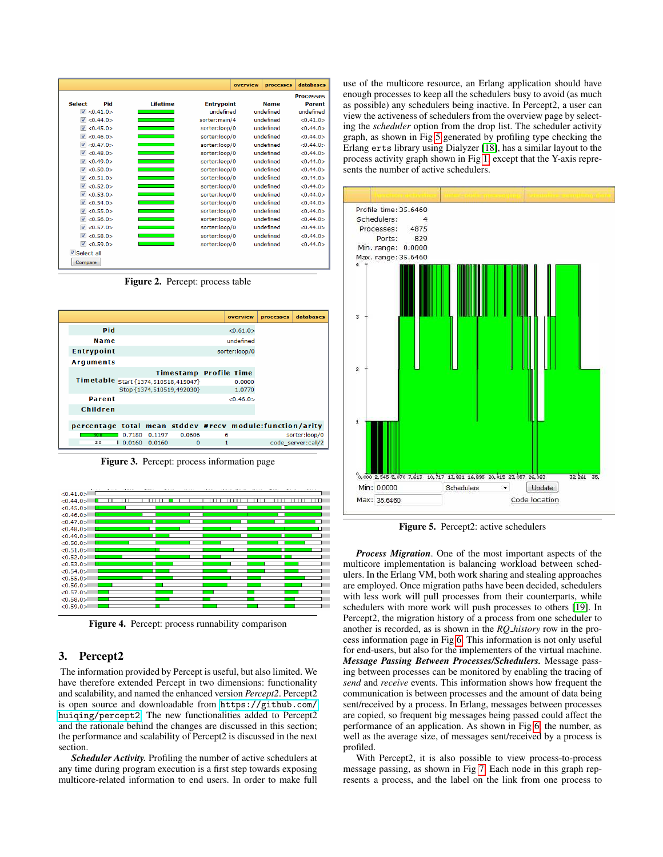|                                |                     |                 |                   | overview | <b>processes</b> | databases        |
|--------------------------------|---------------------|-----------------|-------------------|----------|------------------|------------------|
|                                |                     |                 |                   |          |                  | <b>Processes</b> |
| <b>Select</b>                  | <b>Pid</b>          | <b>Lifetime</b> | <b>Entrypoint</b> |          | <b>Name</b>      | <b>Parent</b>    |
|                                | $\sqrt{8}$ <0.41.0> |                 | undefined         |          | undefined        | undefined        |
| $\overline{\mathsf{v}}$        | <0.44.0>            |                 | sorter:main/4     |          | undefined        | <0.41.0>         |
| V                              | <0.45.0>            |                 | sorter:loop/0     |          | undefined        | <0.44.0>         |
| $\overline{\mathbf{v}}$        | <0.46.0>            |                 | sorter:loop/0     |          | undefined        | <0.44.0>         |
|                                | $\sqrt{6}$ <0.47.0> |                 | sorter:loop/0     |          | undefined        | < 0.44.0         |
|                                | $\sqrt{8}$ <0.48.0> |                 | sorter:loop/0     |          | undefined        | < 0.44.0         |
| $\overline{\mathbf{v}}$        | <0.49.0>            |                 | sorter:loop/0     |          | undefined        | < 0.44.0         |
| V                              | <0.50.0>            |                 | sorter:loop/0     |          | undefined        | <0.44.0>         |
| $\overline{\mathbf{v}}$        | <0.51.0>            |                 | sorter:loop/0     |          | undefined        | <0.44.0>         |
|                                | $\sqrt{6}$ <0.52.0> |                 | sorter:loop/0     |          | undefined        | < 0.44.0         |
|                                | $\sqrt{6}$ <0.53.0> |                 | sorter:loop/0     |          | undefined        | < 0.44.0         |
|                                | $\sqrt{6}$ <0.54.0> |                 | sorter:loop/0     |          | undefined        | < 0.44.0         |
| $\triangledown$                | <0.55.0>            |                 | sorter:loop/0     |          | undefined        | <0.44.0>         |
|                                | $\sqrt{8}$ <0.56.0> |                 | sorter:loop/0     |          | undefined        | <0.44.0>         |
| $\triangledown$                | <0.57.0>            |                 | sorter:loop/0     |          | undefined        | < 0.44.0         |
|                                | $\sqrt{8}$ <0.58.0> |                 | sorter:loop/0     |          | undefined        | < 0.44.0         |
|                                | $\sqrt{8}$ <0.59.0> |                 | sorter:loop/0     |          | undefined        | <0.44.0>         |
| <b>V</b> Select all<br>Compare |                     |                 |                   |          |                  |                  |

<span id="page-3-0"></span>Figure 2. Percept: process table



Figure 3. Percept: process information page



<span id="page-3-1"></span>Figure 4. Percept: process runnability comparison

#### 3. Percept2

The information provided by Percept is useful, but also limited. We have therefore extended Percept in two dimensions: functionality and scalability, and named the enhanced version *Percept2*. Percept2 is open source and downloadable from [https://github.com/](https://github.com/huiqing/percept2) [huiqing/percept2](https://github.com/huiqing/percept2). The new functionalities added to Percept2 and the rationale behind the changes are discussed in this section; the performance and scalability of Percept2 is discussed in the next section.

*Scheduler Activity.* Profiling the number of active schedulers at any time during program execution is a first step towards exposing multicore-related information to end users. In order to make full use of the multicore resource, an Erlang application should have enough processes to keep all the schedulers busy to avoid (as much as possible) any schedulers being inactive. In Percept2, a user can view the activeness of schedulers from the overview page by selecting the *scheduler* option from the drop list. The scheduler activity graph, as shown in Fig [5](#page-2-4) generated by profiling type checking the Erlang erts library using Dialyzer [\[18\]](#page-9-3), has a similar layout to the process activity graph shown in Fig [1,](#page-1-1) except that the Y-axis represents the number of active schedulers.

<span id="page-3-2"></span>

Figure 5. Percept2: active schedulers

*Process Migration*. One of the most important aspects of the multicore implementation is balancing workload between schedulers. In the Erlang VM, both work sharing and stealing approaches are employed. Once migration paths have been decided, schedulers with less work will pull processes from their counterparts, while schedulers with more work will push processes to others [\[19\]](#page-9-1). In Percept2, the migration history of a process from one scheduler to another is recorded, as is shown in the *RQ history* row in the process information page in Fig [6.](#page-3-0) This information is not only useful for end-users, but also for the implementers of the virtual machine. *Message Passing Between Processes/Schedulers.* Message passing between processes can be monitored by enabling the tracing of *send* and *receive* events. This information shows how frequent the communication is between processes and the amount of data being sent/received by a process. In Erlang, messages between processes are copied, so frequent big messages being passed could affect the performance of an application. As shown in Fig [6,](#page-3-0) the number, as well as the average size, of messages sent/received by a process is profiled.

With Percept2, it is also possible to view process-to-process message passing, as shown in Fig [7.](#page-3-1) Each node in this graph represents a process, and the label on the link from one process to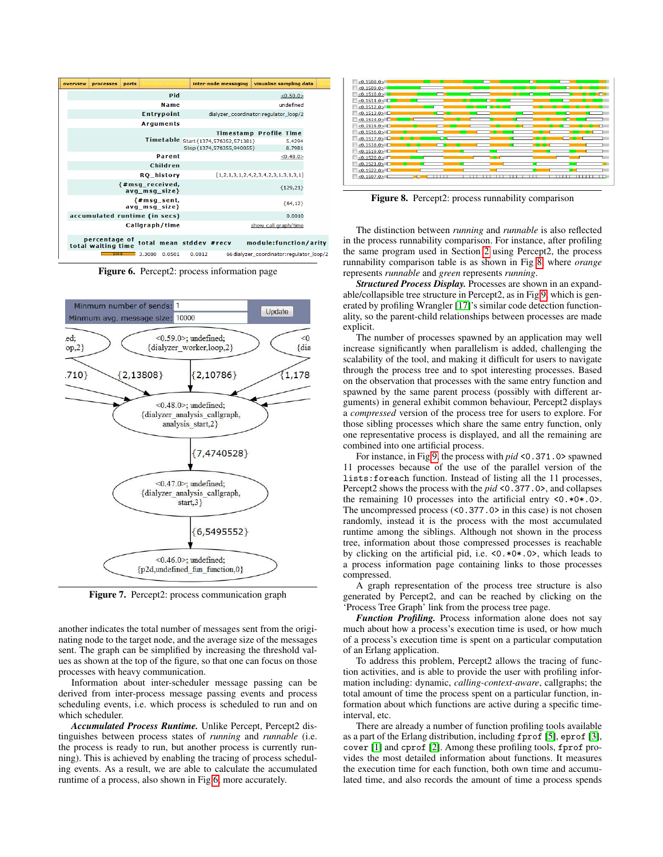| overview | <b>processes</b>                    | ports |        | mdion adivitic                    |                         | inter-node messaging                  | visualise sampling data                   |            |  |
|----------|-------------------------------------|-------|--------|-----------------------------------|-------------------------|---------------------------------------|-------------------------------------------|------------|--|
|          |                                     |       |        | Pid                               |                         |                                       |                                           | <0.50.0>   |  |
|          |                                     |       |        | Name                              |                         |                                       |                                           | undefined  |  |
|          |                                     |       |        | <b>Entrypoint</b>                 |                         | dialyzer coordinator:regulator loop/2 |                                           |            |  |
|          |                                     |       |        | <b>Arquments</b>                  |                         |                                       |                                           |            |  |
|          |                                     |       |        |                                   |                         | <b>Timestamp Profile Time</b>         |                                           |            |  |
|          |                                     |       |        |                                   |                         | Timetable Start{1374,576352,571381}   |                                           | 5.4294     |  |
|          |                                     |       |        |                                   |                         | Stop{1374,576355,940055}              |                                           | 8.7981     |  |
|          |                                     |       |        | <b>Parent</b>                     |                         |                                       |                                           | <0.48.0>   |  |
|          |                                     |       |        | Children                          |                         |                                       |                                           |            |  |
|          |                                     |       |        | <b>RQ_history</b>                 |                         | [1,2,1,3,1,2,4,2,3,4,2,3,1,3,1,3,1]   |                                           |            |  |
|          |                                     |       |        | {#msq_received,<br>avq_msq_size}  |                         |                                       |                                           | ${129,21}$ |  |
|          |                                     |       |        | ${#msg\_sent, }$<br>avq_msq_size} |                         |                                       |                                           | ${64,12}$  |  |
|          | accumulated runtime (in secs)       |       |        |                                   |                         |                                       |                                           | 0.0010     |  |
|          |                                     |       |        | Callgraph/time                    |                         |                                       | show call graph/time                      |            |  |
|          | percentage of<br>total waiting time |       |        |                                   | total mean stddev #recv |                                       | module: function/arity                    |            |  |
|          | 100 <sub>x</sub>                    |       | 3.3080 | 0.0501                            | 0.0812                  |                                       | 66 dialyzer coordinator: regulator loop/2 |            |  |

Figure 6. Percept2: process information page



Figure 7. Percept2: process communication graph

another indicates the total number of messages sent from the originating node to the target node, and the average size of the messages sent. The graph can be simplified by increasing the threshold values as shown at the top of the figure, so that one can focus on those processes with heavy communication.

Information about inter-scheduler message passing can be derived from inter-process message passing events and process scheduling events, i.e. which process is scheduled to run and on which scheduler.

*Accumulated Process Runtime.* Unlike Percept, Percept2 distinguishes between process states of *running* and *runnable* (i.e. the process is ready to run, but another process is currently running). This is achieved by enabling the tracing of process scheduling events. As a result, we are able to calculate the accumulated runtime of a process, also shown in Fig [6,](#page-3-0) more accurately.



Figure 8. Percept2: process runnability comparison

<span id="page-4-1"></span>The distinction between *running* and *runnable* is also reflected in the process runnability comparison. For instance, after profiling the same program used in Section [2](#page-1-0) using Percept2, the process runnability comparison table is as shown in Fig [8,](#page-3-2) where *orange* represents *runnable* and *green* represents *running*.

*Structured Process Display.* Processes are shown in an expandable/collapsible tree structure in Percept2, as in Fig [9,](#page-4-1) which is generated by profiling Wrangler [\[17\]](#page-9-4)'s similar code detection functionality, so the parent-child relationships between processes are made explicit.

The number of processes spawned by an application may well increase significantly when parallelism is added, challenging the scalability of the tool, and making it difficult for users to navigate through the process tree and to spot interesting processes. Based on the observation that processes with the same entry function and spawned by the same parent process (possibly with different arguments) in general exhibit common behaviour, Percept2 displays a *compressed* version of the process tree for users to explore. For those sibling processes which share the same entry function, only one representative process is displayed, and all the remaining are combined into one artificial process.

For instance, in Fig [9,](#page-4-1) the process with *pid* <0.371.0> spawned 11 processes because of the use of the parallel version of the lists:foreach function. Instead of listing all the 11 processes, Percept2 shows the process with the *pid* <0.377.0>, and collapses the remaining 10 processes into the artificial entry <0.\*0\*.0>. The uncompressed process (<0.377.0> in this case) is not chosen randomly, instead it is the process with the most accumulated runtime among the siblings. Although not shown in the process tree, information about those compressed processes is reachable by clicking on the artificial pid, i.e. <0.\*0\*.0>, which leads to a process information page containing links to those processes compressed.

<span id="page-4-0"></span>A graph representation of the process tree structure is also generated by Percept2, and can be reached by clicking on the 'Process Tree Graph' link from the process tree page.

*Function Profiling.* Process information alone does not say much about how a process's execution time is used, or how much of a process's execution time is spent on a particular computation of an Erlang application.

To address this problem, Percept2 allows the tracing of function activities, and is able to provide the user with profiling information including: dynamic, *calling-context-aware*, callgraphs; the total amount of time the process spent on a particular function, information about which functions are active during a specific timeinterval, etc.

There are already a number of function profiling tools available as a part of the Erlang distribution, including fprof [\[5\]](#page-8-6), eprof [\[3\]](#page-8-7), cover [\[1\]](#page-8-8) and cprof [\[2\]](#page-8-9). Among these profiling tools, fprof provides the most detailed information about functions. It measures the execution time for each function, both own time and accumulated time, and also records the amount of time a process spends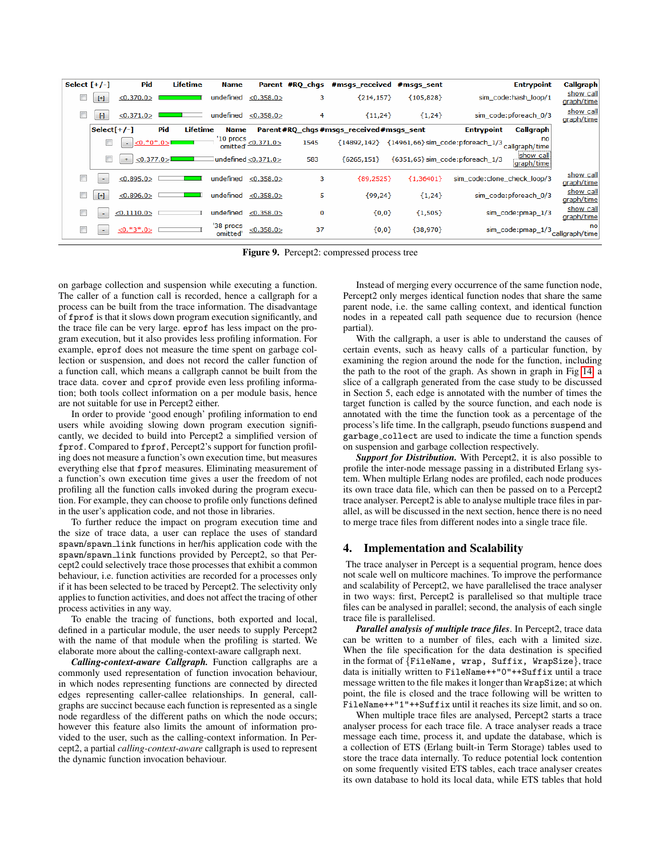| Select $[+/$ |              | Pid              | Lifetime               | <b>Name</b>          |                                                         | Parent #RQ_chgs | #msgs received #msgs sent                 |             | <b>Entrypoint</b>                                           | Callgraph               |
|--------------|--------------|------------------|------------------------|----------------------|---------------------------------------------------------|-----------------|-------------------------------------------|-------------|-------------------------------------------------------------|-------------------------|
|              | $[+]$        | < 0.370.0 >      |                        | undefined            | < 0.358.0                                               | з               | ${214, 157}$                              | ${105,828}$ | sim_code:hash_loop/1                                        | show call<br>graph/time |
|              | $\mathbb{H}$ | <0.371.0>        |                        | undefined            | $\le 0.358.0$                                           | 4               | ${11,24}$                                 | ${1,24}$    | sim_code:pforeach_0/3                                       | show call<br>graph/time |
|              | $Select[+/$  |                  | Pid<br><b>Lifetime</b> | <b>Name</b>          |                                                         |                 | Parent #RQ_chgs #msgs_received #msgs_sent |             | Callgraph<br><b>Entrypoint</b>                              |                         |
|              |              | $<0.*0*.0>$<br>÷ |                        | '10 procs            | $\frac{1}{2}$ mitted $\frac{1}{2}$ mitted $\frac{1}{2}$ | 1545            | ${14892,142}$                             |             | {14961,66} sim_code:pforeach_1/3 callgraph/time             |                         |
|              | $\Box$       | <0.377.0><br>÷   |                        |                      | $1$ undefined $\leq 0.371.0$                            | 583             | ${6265,151}$                              |             | show call<br>{6351,65} sim_code: pforeach_1/3<br>graph/time |                         |
|              | ٠            | <0.895.0>        |                        | undefined            | < 0.358.0                                               | 3               | ${89,2525}$                               | ${1.36401}$ | sim code:clone_check_loop/3                                 | show call<br>graph/time |
|              | $[+]$        | < 0.896.0        |                        | undefined            | $\leq 0.358.0$                                          | 5               | ${99,24}$                                 | ${1,24}$    | sim_code:pforeach_0/3                                       | show call<br>graph/time |
|              | ٠            | <0.1110.0>       |                        | undefined            | < 0.358.0                                               | 0               | ${0,0}$                                   | ${1,505}$   | sim_code:pmap_1/3                                           | show call<br>graph/time |
|              | ٠            | $\le 0.*3*.0>$   |                        | '38 procs<br>omitted | <0.358.0>                                               | 37              | ${0,0}$                                   | ${38,970}$  | $sim\_code:pmap\_1/3$ <sub>Callgraph/time</sub>             |                         |

<span id="page-5-1"></span>Figure 9. Percept2: compressed process tree

on garbage collection and suspension while executing a function. The caller of a function call is recorded, hence a callgraph for a process can be built from the trace information. The disadvantage of fprof is that it slows down program execution significantly, and the trace file can be very large. eprof has less impact on the program execution, but it also provides less profiling information. For example, eprof does not measure the time spent on garbage collection or suspension, and does not record the caller function of a function call, which means a callgraph cannot be built from the trace data. cover and cprof provide even less profiling information; both tools collect information on a per module basis, hence are not suitable for use in Percept2 either.

In order to provide 'good enough' profiling information to end users while avoiding slowing down program execution significantly, we decided to build into Percept2 a simplified version of fprof. Compared to fprof, Percept2's support for function profiling does not measure a function's own execution time, but measures everything else that fprof measures. Eliminating measurement of a function's own execution time gives a user the freedom of not profiling all the function calls invoked during the program execution. For example, they can choose to profile only functions defined in the user's application code, and not those in libraries.

To further reduce the impact on program execution time and the size of trace data, a user can replace the uses of standard spawn/spawn link functions in her/his application code with the spawn/spawn link functions provided by Percept2, so that Percept2 could selectively trace those processes that exhibit a common behaviour, i.e. function activities are recorded for a processes only if it has been selected to be traced by Percept2. The selectivity only applies to function activities, and does not affect the tracing of other process activities in any way.

To enable the tracing of functions, both exported and local, defined in a particular module, the user needs to supply Percept2 with the name of that module when the profiling is started. We elaborate more about the calling-context-aware callgraph next.

<span id="page-5-2"></span>*Calling-context-aware Callgraph.* Function callgraphs are a commonly used representation of function invocation behaviour, in which nodes representing functions are connected by directed edges representing caller-callee relationships. In general, callgraphs are succinct because each function is represented as a single node regardless of the different paths on which the node occurs; however this feature also limits the amount of information provided to the user, such as the calling-context information. In Percept2, a partial *calling-context-aware* callgraph is used to represent the dynamic function invocation behaviour.

Instead of merging every occurrence of the same function node, Percept2 only merges identical function nodes that share the same parent node, i.e. the same calling context, and identical function nodes in a repeated call path sequence due to recursion (hence partial).

<span id="page-5-0"></span>With the callgraph, a user is able to understand the causes of certain events, such as heavy calls of a particular function, by examining the region around the node for the function, including the path to the root of the graph. As shown in graph in Fig [14,](#page-7-1) a slice of a callgraph generated from the case study to be discussed in Section 5, each edge is annotated with the number of times the target function is called by the source function, and each node is annotated with the time the function took as a percentage of the process's life time. In the callgraph, pseudo functions suspend and garbage collect are used to indicate the time a function spends on suspension and garbage collection respectively.

*Support for Distribution.* With Percept2, it is also possible to profile the inter-node message passing in a distributed Erlang system. When multiple Erlang nodes are profiled, each node produces its own trace data file, which can then be passed on to a Percept2 trace analyser. Percept2 is able to analyse multiple trace files in parallel, as will be discussed in the next section, hence there is no need to merge trace files from different nodes into a single trace file.

#### 4. Implementation and Scalability

The trace analyser in Percept is a sequential program, hence does not scale well on multicore machines. To improve the performance and scalability of Percept2, we have parallelised the trace analyser in two ways: first, Percept2 is parallelised so that multiple trace files can be analysed in parallel; second, the analysis of each single trace file is parallelised.

*Parallel analysis of multiple trace files*. In Percept2, trace data can be written to a number of files, each with a limited size. When the file specification for the data destination is specified in the format of {FileName, wrap, Suffix, WrapSize}, trace data is initially written to FileName++"0"++Suffix until a trace message written to the file makes it longer than WrapSize; at which point, the file is closed and the trace following will be written to FileName++"1"++Suffix until it reaches its size limit, and so on.

When multiple trace files are analysed, Percept2 starts a trace analyser process for each trace file. A trace analyser reads a trace message each time, process it, and update the database, which is a collection of ETS (Erlang built-in Term Storage) tables used to store the trace data internally. To reduce potential lock contention on some frequently visited ETS tables, each trace analyser creates its own database to hold its local data, while ETS tables that hold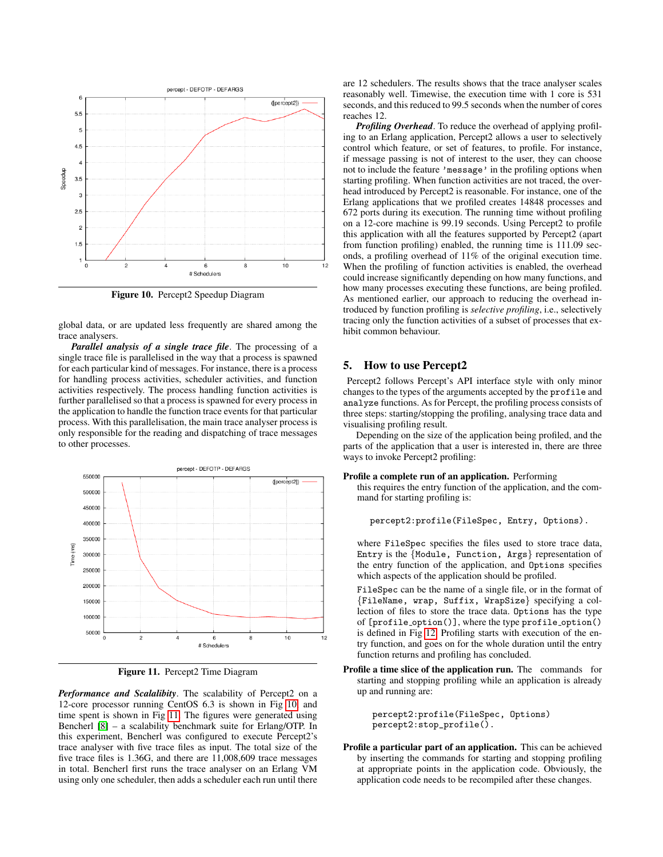

<span id="page-6-0"></span>Figure 10. Percept2 Speedup Diagram

global data, or are updated less frequently are shared among the trace analysers.

*Parallel analysis of a single trace file*. The processing of a single trace file is parallelised in the way that a process is spawned for each particular kind of messages. For instance, there is a process for handling process activities, scheduler activities, and function activities respectively. The process handling function activities is further parallelised so that a process is spawned for every process in the application to handle the function trace events for that particular process. With this parallelisation, the main trace analyser process is only responsible for the reading and dispatching of trace messages to other processes.



Figure 11. Percept2 Time Diagram

<span id="page-6-1"></span>*Performance and Scalalibity*. The scalability of Percept2 on a 12-core processor running CentOS 6.3 is shown in Fig [10,](#page-5-1) and time spent is shown in Fig [11.](#page-5-2) The figures were generated using Bencherl [\[8\]](#page-8-10) – a scalability benchmark suite for Erlang/OTP. In this experiment, Bencherl was configured to execute Percept2's trace analyser with five trace files as input. The total size of the five trace files is 1.36G, and there are 11,008,609 trace messages in total. Bencherl first runs the trace analyser on an Erlang VM using only one scheduler, then adds a scheduler each run until there

are 12 schedulers. The results shows that the trace analyser scales reasonably well. Timewise, the execution time with 1 core is 531 seconds, and this reduced to 99.5 seconds when the number of cores reaches 12.

*Profiling Overhead*. To reduce the overhead of applying profiling to an Erlang application, Percept2 allows a user to selectively control which feature, or set of features, to profile. For instance, if message passing is not of interest to the user, they can choose not to include the feature 'message' in the profiling options when starting profiling. When function activities are not traced, the overhead introduced by Percept2 is reasonable. For instance, one of the Erlang applications that we profiled creates 14848 processes and 672 ports during its execution. The running time without profiling on a 12-core machine is 99.19 seconds. Using Percept2 to profile this application with all the features supported by Percept2 (apart from function profiling) enabled, the running time is 111.09 seconds, a profiling overhead of 11% of the original execution time. When the profiling of function activities is enabled, the overhead could increase significantly depending on how many functions, and how many processes executing these functions, are being profiled. As mentioned earlier, our approach to reducing the overhead introduced by function profiling is *selective profiling*, i.e., selectively tracing only the function activities of a subset of processes that exhibit common behaviour.

#### 5. How to use Percept2

Percept2 follows Percept's API interface style with only minor changes to the types of the arguments accepted by the profile and analyze functions. As for Percept, the profiling process consists of three steps: starting/stopping the profiling, analysing trace data and visualising profiling result.

Depending on the size of the application being profiled, and the parts of the application that a user is interested in, there are three ways to invoke Percept2 profiling:

#### Profile a complete run of an application. Performing

this requires the entry function of the application, and the command for starting profiling is:

percept2:profile(FileSpec, Entry, Options).

where FileSpec specifies the files used to store trace data, Entry is the {Module, Function, Args} representation of the entry function of the application, and Options specifies which aspects of the application should be profiled.

FileSpec can be the name of a single file, or in the format of {FileName, wrap, Suffix, WrapSize} specifying a collection of files to store the trace data. Options has the type of [profile option()], where the type profile option() is defined in Fig [12.](#page-7-2) Profiling starts with execution of the entry function, and goes on for the whole duration until the entry function returns and profiling has concluded.

Profile a time slice of the application run. The commands for starting and stopping profiling while an application is already up and running are:

> <span id="page-6-2"></span>percept2:profile(FileSpec, Options) percept2:stop\_profile().

Profile a particular part of an application. This can be achieved by inserting the commands for starting and stopping profiling at appropriate points in the application code. Obviously, the application code needs to be recompiled after these changes.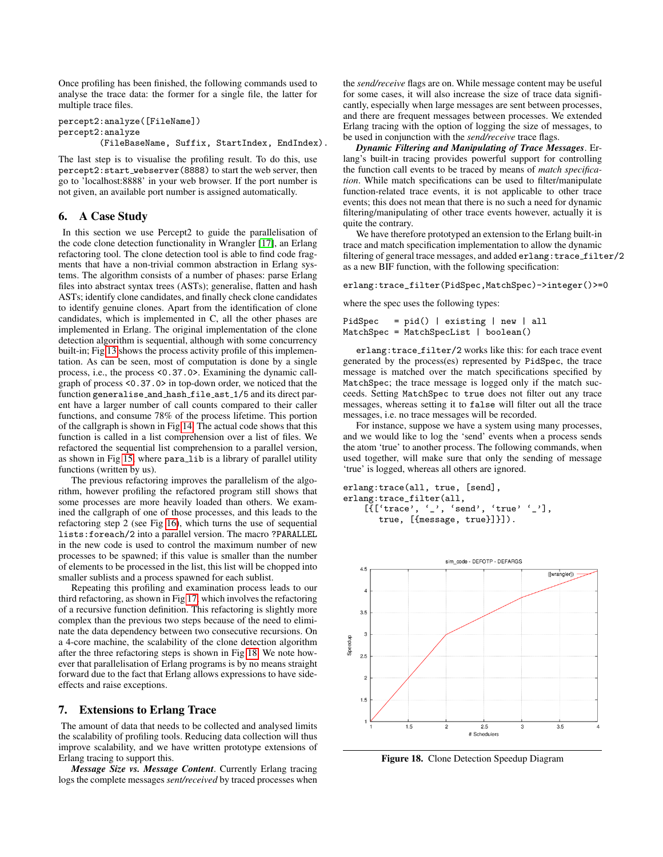Once profiling has been finished, the following commands used to analyse the trace data: the former for a single file, the latter for multiple trace files.

percept2:analyze([FileName]) percept2:analyze (FileBaseName, Suffix, StartIndex, EndIndex).

The last step is to visualise the profiling result. To do this, use percept2:start webserver(8888) to start the web server, then go to 'localhost:8888' in your web browser. If the port number is not given, an available port number is assigned automatically.

#### 6. A Case Study

In this section we use Percept2 to guide the parallelisation of the code clone detection functionality in Wrangler [\[17\]](#page-9-4), an Erlang refactoring tool. The clone detection tool is able to find code fragments that have a non-trivial common abstraction in Erlang systems. The algorithm consists of a number of phases: parse Erlang files into abstract syntax trees (ASTs); generalise, flatten and hash ASTs; identify clone candidates, and finally check clone candidates to identify genuine clones. Apart from the identification of clone candidates, which is implemented in C, all the other phases are implemented in Erlang. The original implementation of the clone detection algorithm is sequential, although with some concurrency built-in; Fig [13](#page-7-3) shows the process activity profile of this implementation. As can be seen, most of computation is done by a single process, i.e., the process <0.37.0>. Examining the dynamic callgraph of process <0.37.0> in top-down order, we noticed that the function generalise and hash file ast 1/5 and its direct parent have a larger number of call counts compared to their caller functions, and consume 78% of the process lifetime. This portion of the callgraph is shown in Fig [14.](#page-7-1) The actual code shows that this function is called in a list comprehension over a list of files. We refactored the sequential list comprehension to a parallel version, as shown in Fig [15,](#page-7-4) where para\_lib is a library of parallel utility functions (written by us).

The previous refactoring improves the parallelism of the algorithm, however profiling the refactored program still shows that some processes are more heavily loaded than others. We examined the callgraph of one of those processes, and this leads to the refactoring step 2 (see Fig [16\)](#page-7-5), which turns the use of sequential lists:foreach/2 into a parallel version. The macro ?PARALLEL in the new code is used to control the maximum number of new processes to be spawned; if this value is smaller than the number of elements to be processed in the list, this list will be chopped into smaller sublists and a process spawned for each sublist.

Repeating this profiling and examination process leads to our third refactoring, as shown in Fig [17,](#page-8-11) which involves the refactoring of a recursive function definition. This refactoring is slightly more complex than the previous two steps because of the need to eliminate the data dependency between two consecutive recursions. On a 4-core machine, the scalability of the clone detection algorithm after the three refactoring steps is shown in Fig [18.](#page-6-2) We note however that parallelisation of Erlang programs is by no means straight forward due to the fact that Erlang allows expressions to have sideeffects and raise exceptions.

#### 7. Extensions to Erlang Trace

<span id="page-7-0"></span>The amount of data that needs to be collected and analysed limits the scalability of profiling tools. Reducing data collection will thus improve scalability, and we have written prototype extensions of Erlang tracing to support this.

*Message Size vs. Message Content*. Currently Erlang tracing logs the complete messages *sent/received* by traced processes when the *send/receive* flags are on. While message content may be useful for some cases, it will also increase the size of trace data significantly, especially when large messages are sent between processes, and there are frequent messages between processes. We extended Erlang tracing with the option of logging the size of messages, to be used in conjunction with the *send/receive* trace flags.

*Dynamic Filtering and Manipulating of Trace Messages*. Erlang's built-in tracing provides powerful support for controlling the function call events to be traced by means of *match specification*. While match specifications can be used to filter/manipulate function-related trace events, it is not applicable to other trace events; this does not mean that there is no such a need for dynamic filtering/manipulating of other trace events however, actually it is quite the contrary.

<span id="page-7-2"></span>We have therefore prototyped an extension to the Erlang built-in trace and match specification implementation to allow the dynamic filtering of general trace messages, and added erlang: trace\_filter/2 as a new BIF function, with the following specification:

erlang:trace\_filter(PidSpec,MatchSpec)->integer()>=0

where the spec uses the following types:

```
PidSpec = pid() | existing | new | all
MatchSpec = MatchSpecList | boolean()
```
<span id="page-7-3"></span>erlang:trace filter/2 works like this: for each trace event generated by the process(es) represented by PidSpec, the trace message is matched over the match specifications specified by MatchSpec; the trace message is logged only if the match succeeds. Setting MatchSpec to true does not filter out any trace messages, whereas setting it to false will filter out all the trace messages, i.e. no trace messages will be recorded.

For instance, suppose we have a system using many processes, and we would like to log the 'send' events when a process sends the atom 'true' to another process. The following commands, when used together, will make sure that only the sending of message 'true' is logged, whereas all others are ignored.

<span id="page-7-1"></span>erlang:trace(all, true, [send], erlang:trace\_filter(all, [ $\{$ ['trace', '\_', 'send', 'true' '\_'], true, [{message, true}]}]).

<span id="page-7-4"></span>

<span id="page-7-5"></span>Figure 18. Clone Detection Speedup Diagram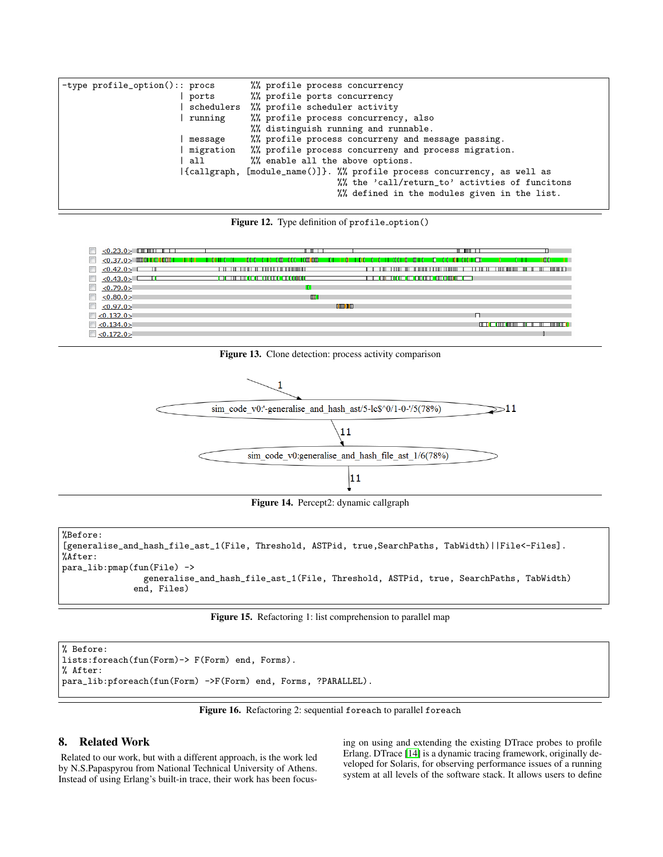| -type $profit_{option}():$ procs | %% profile process concurrency                                           |
|----------------------------------|--------------------------------------------------------------------------|
| ports                            | %% profile ports concurrency                                             |
|                                  | schedulers %% profile scheduler activity                                 |
| running                          | %% profile process concurrency, also                                     |
|                                  | %% distinguish running and runnable.                                     |
| message                          | %% profile process concurreny and message passing.                       |
| migration                        | %% profile process concurreny and process migration.                     |
| all                              | %% enable all the above options.                                         |
|                                  | {callgraph, [module_name()]}. %% profile process concurrency, as well as |
|                                  | %% the 'call/return_to' activties of funcitons                           |
|                                  | %% defined in the modules given in the list.                             |



| $\langle 0.23.0 \rangle$ contribution $\Box$<br><b>Contract Contract</b> |                                                                                             | <b>THE R</b>                                    |
|--------------------------------------------------------------------------|---------------------------------------------------------------------------------------------|-------------------------------------------------|
| <b>ISSUED</b><br>- 11 11 1                                               | <b>ENTERNATIONAL ENTERNATIONAL ENTERNATIONAL EN DE LA BIGANA EN 1980.</b><br>TIL ITT D<br>. | ா<br>111 1 1 1 1<br>1 U U<br>п.<br>.<br>ш       |
| <0.42.0>                                                                 |                                                                                             | णाणा<br>_______________<br>. .<br>--            |
| <0.43.0>                                                                 | <b>EN ET THE THE CONFIDENTIAL ENDINEERS</b>                                                 | <u>TELEMET (ATT (ET EN ATT ATT ATT CITE) – </u> |
| $\Box$ <0.79.0>                                                          | . .                                                                                         |                                                 |
| $\Box$ <0.80.0>                                                          | <b>III</b>                                                                                  |                                                 |
| $\Box$ <0.97.0>                                                          | <b>CONTRACT</b>                                                                             |                                                 |
| $\Box$ <0.132.0>                                                         |                                                                                             |                                                 |
| $\Box$ <0.134.0>                                                         |                                                                                             | in Tim in in in Tim                             |
| $\Box$ <0.172.0>                                                         |                                                                                             |                                                 |

<span id="page-8-11"></span>Figure 13. Clone detection: process activity comparison



<span id="page-8-9"></span><span id="page-8-8"></span><span id="page-8-7"></span><span id="page-8-6"></span><span id="page-8-5"></span>Figure 14. Percept2: dynamic callgraph

```
%Before:
[generalise_and_hash_file_ast_1(File, Threshold, ASTPid, true,SearchPaths, TabWidth)||File<-Files].
%After:
para_lib:pmap(fun(File) ->
                generalise_and_hash_file_ast_1(File, Threshold, ASTPid, true, SearchPaths, TabWidth)
              end, Files)
```
#### Figure 15. Refactoring 1: list comprehension to parallel map

```
% Before:
lists:foreach(fun(Form)-> F(Form) end, Forms).
% After:
para_lib:pforeach(fun(Form) ->F(Form) end, Forms, ?PARALLEL).
```
Figure 16. Refactoring 2: sequential foreach to parallel foreach

#### <span id="page-8-4"></span>8. Related Work

Related to our work, but with a different approach, is the work led by N.S.Papaspyrou from National Technical University of Athens. Instead of using Erlang's built-in trace, their work has been focus<span id="page-8-13"></span><span id="page-8-12"></span><span id="page-8-10"></span><span id="page-8-3"></span><span id="page-8-2"></span><span id="page-8-1"></span><span id="page-8-0"></span>ing on using and extending the existing DTrace probes to profile Erlang. DTrace [\[14\]](#page-9-5) is a dynamic tracing framework, originally developed for Solaris, for observing performance issues of a running system at all levels of the software stack. It allows users to define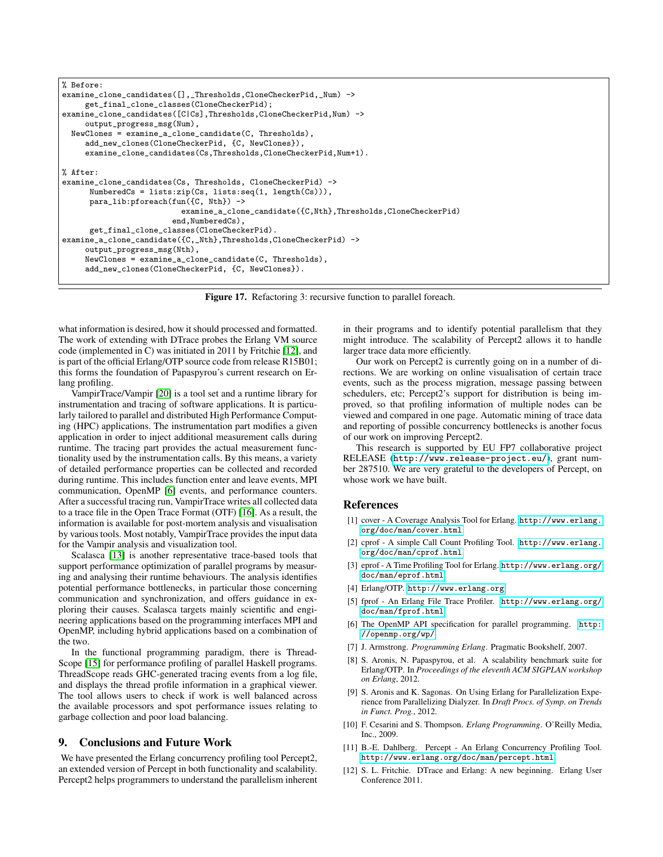```
% Before:
examine_clone_candidates([],_Thresholds,CloneCheckerPid,_Num) ->
     get_final_clone_classes(CloneCheckerPid);
examine_clone_candidates([C|Cs],Thresholds,CloneCheckerPid,Num) ->
    output_progress_msg(Num),
 NewClones = examine_a_clone_candidate(C, Thresholds),
    add_new_clones(CloneCheckerPid, {C, NewClones}),
     examine_clone_candidates(Cs,Thresholds,CloneCheckerPid,Num+1).
% After:
examine_clone_candidates(Cs, Thresholds, CloneCheckerPid) ->
     NumberedCs = lists:zip(Cs, lists:seq(1, length(Cs))),
     para_lib:pforeach(fun({C, Nth}) ->
                          examine_a_clone_candidate({C,Nth},Thresholds,CloneCheckerPid)
                        end.NumberedCs).
     get_final_clone_classes(CloneCheckerPid).
examine_a_clone_candidate({C,_Nth},Thresholds,CloneCheckerPid) ->
     output_progress_msg(Nth),
     NewClones = examine_a_clone_candidate(C, Thresholds),
     add_new_clones(CloneCheckerPid, {C, NewClones}).
```
Figure 17. Refactoring 3: recursive function to parallel foreach.

<span id="page-9-6"></span><span id="page-9-4"></span><span id="page-9-3"></span><span id="page-9-2"></span><span id="page-9-1"></span>what information is desired, how it should processed and formatted. The work of extending with DTrace probes the Erlang VM source code (implemented in C) was initiated in 2011 by Fritchie [\[12\]](#page-8-12), and is part of the official Erlang/OTP source code from release R15B01; this forms the foundation of Papaspyrou's current research on Erlang profiling.

<span id="page-9-0"></span>VampirTrace/Vampir [\[20\]](#page-9-6) is a tool set and a runtime library for instrumentation and tracing of software applications. It is particularly tailored to parallel and distributed High Performance Computing (HPC) applications. The instrumentation part modifies a given application in order to inject additional measurement calls during runtime. The tracing part provides the actual measurement functionality used by the instrumentation calls. By this means, a variety of detailed performance properties can be collected and recorded during runtime. This includes function enter and leave events, MPI communication, OpenMP [\[6\]](#page-8-13) events, and performance counters. After a successful tracing run, VampirTrace writes all collected data to a trace file in the Open Trace Format (OTF) [\[16\]](#page-9-7). As a result, the information is available for post-mortem analysis and visualisation by various tools. Most notably, VampirTrace provides the input data for the Vampir analysis and visualization tool.

Scalasca [\[13\]](#page-9-8) is another representative trace-based tools that support performance optimization of parallel programs by measuring and analysing their runtime behaviours. The analysis identifies potential performance bottlenecks, in particular those concerning communication and synchronization, and offers guidance in exploring their causes. Scalasca targets mainly scientific and engineering applications based on the programming interfaces MPI and OpenMP, including hybrid applications based on a combination of the two.

In the functional programming paradigm, there is Thread-Scope [\[15\]](#page-9-9) for performance profiling of parallel Haskell programs. ThreadScope reads GHC-generated tracing events from a log file, and displays the thread profile information in a graphical viewer. The tool allows users to check if work is well balanced across the available processors and spot performance issues relating to garbage collection and poor load balancing.

#### 9. Conclusions and Future Work

We have presented the Erlang concurrency profiling tool Percept2, an extended version of Percept in both functionality and scalability. Percept2 helps programmers to understand the parallelism inherent in their programs and to identify potential parallelism that they might introduce. The scalability of Percept2 allows it to handle larger trace data more efficiently.

Our work on Percept2 is currently going on in a number of directions. We are working on online visualisation of certain trace events, such as the process migration, message passing between schedulers, etc; Percept2's support for distribution is being improved, so that profiling information of multiple nodes can be viewed and compared in one page. Automatic mining of trace data and reporting of possible concurrency bottlenecks is another focus of our work on improving Percept2.

This research is supported by EU FP7 collaborative project RELEASE (<http://www.release-project.eu/>), grant number 287510. We are very grateful to the developers of Percept, on whose work we have built.

#### References

- [1] cover A Coverage Analysis Tool for Erlang. [http://www.erlang.](http://www.erlang.org/doc/man/cover.html) [org/doc/man/cover.html](http://www.erlang.org/doc/man/cover.html).
- [2] cprof A simple Call Count Profiling Tool. [http://www.erlang.](http://www.erlang.org/doc/man/cprof.html) [org/doc/man/cprof.html](http://www.erlang.org/doc/man/cprof.html).
- [3] eprof A Time Profiling Tool for Erlang. [http://www.erlang.org/](http://www.erlang.org/doc/man/eprof.html) [doc/man/eprof.html](http://www.erlang.org/doc/man/eprof.html).
- [4] Erlang/OTP. <http://www.erlang.org>.
- [5] fprof An Erlang File Trace Profiler. [http://www.erlang.org/](http://www.erlang.org/doc/man/fprof.html) [doc/man/fprof.html](http://www.erlang.org/doc/man/fprof.html).
- [6] The OpenMP API specification for parallel programming. [http:](http://openmp.org/wp/) [//openmp.org/wp/](http://openmp.org/wp/).
- [7] J. Armstrong. *Programming Erlang*. Pragmatic Bookshelf, 2007.
- [8] S. Aronis, N. Papaspyrou, et al. A scalability benchmark suite for Erlang/OTP. In *Proceedings of the eleventh ACM SIGPLAN workshop on Erlang*, 2012.
- [9] S. Aronis and K. Sagonas. On Using Erlang for Parallelization Experience from Parallelizing Dialyzer. In *Draft Procs. of Symp. on Trends in Funct. Prog.*, 2012.
- [10] F. Cesarini and S. Thompson. *Erlang Programming*. O'Reilly Media, Inc., 2009.
- [11] B.-E. Dahlberg. Percept An Erlang Concurrency Profiling Tool. <http://www.erlang.org/doc/man/percept.html>.
- [12] S. L. Fritchie. DTrace and Erlang: A new beginning. Erlang User Conference 2011.